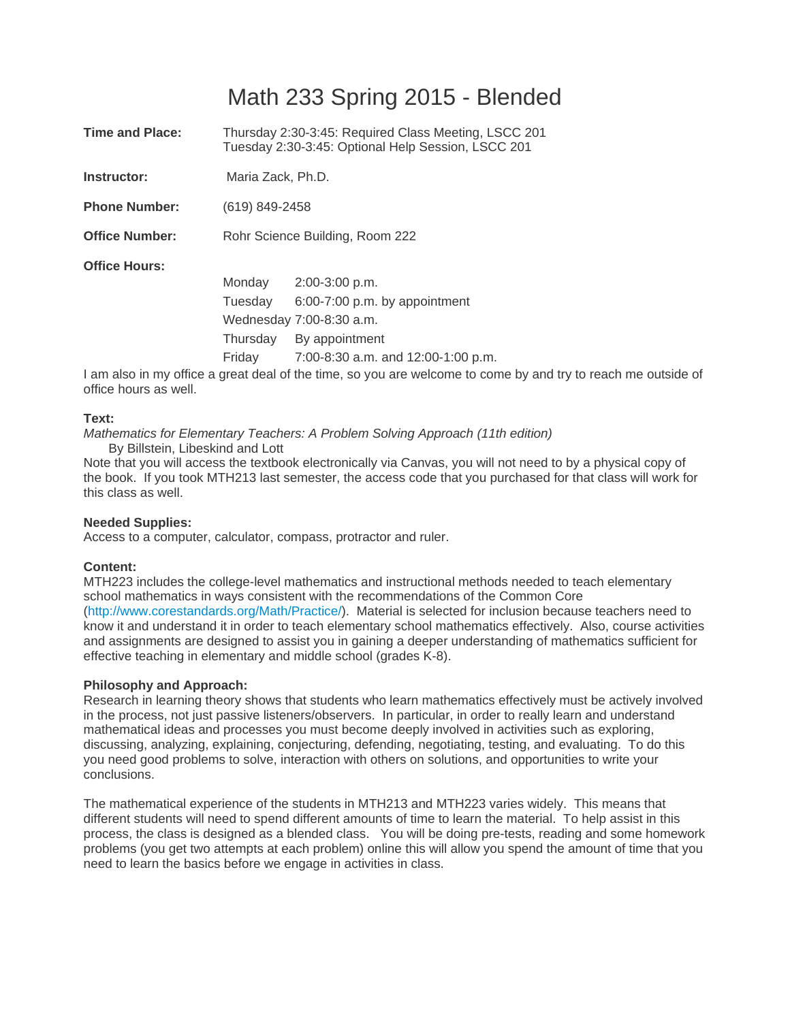# Math 233 Spring 2015 - Blended

| <b>Time and Place:</b> | Thursday 2:30-3:45: Required Class Meeting, LSCC 201<br>Tuesday 2:30-3:45: Optional Help Session, LSCC 201 |                                                                                                                                         |  |
|------------------------|------------------------------------------------------------------------------------------------------------|-----------------------------------------------------------------------------------------------------------------------------------------|--|
| Instructor:            | Maria Zack, Ph.D.                                                                                          |                                                                                                                                         |  |
| <b>Phone Number:</b>   | (619) 849-2458                                                                                             |                                                                                                                                         |  |
| <b>Office Number:</b>  | Rohr Science Building, Room 222                                                                            |                                                                                                                                         |  |
| <b>Office Hours:</b>   | Monday<br>Tuesday<br>Thursday<br>Friday                                                                    | $2:00-3:00$ p.m.<br>$6:00-7:00$ p.m. by appointment<br>Wednesday 7:00-8:30 a.m.<br>By appointment<br>7:00-8:30 a.m. and 12:00-1:00 p.m. |  |

I am also in my office a great deal of the time, so you are welcome to come by and try to reach me outside of office hours as well.

#### **Text:**

*Mathematics for Elementary Teachers: A Problem Solving Approach (11th edition)*  By Billstein, Libeskind and Lott

Note that you will access the textbook electronically via Canvas, you will not need to by a physical copy of the book. If you took MTH213 last semester, the access code that you purchased for that class will work for this class as well.

## **Needed Supplies:**

Access to a computer, calculator, compass, protractor and ruler.

## **Content:**

MTH223 includes the college-level mathematics and instructional methods needed to teach elementary school mathematics in ways consistent with the recommendations of the Common Core (http://www.corestandards.org/Math/Practice/). Material is selected for inclusion because teachers need to know it and understand it in order to teach elementary school mathematics effectively. Also, course activities and assignments are designed to assist you in gaining a deeper understanding of mathematics sufficient for effective teaching in elementary and middle school (grades K-8).

## **Philosophy and Approach:**

Research in learning theory shows that students who learn mathematics effectively must be actively involved in the process, not just passive listeners/observers. In particular, in order to really learn and understand mathematical ideas and processes you must become deeply involved in activities such as exploring, discussing, analyzing, explaining, conjecturing, defending, negotiating, testing, and evaluating. To do this you need good problems to solve, interaction with others on solutions, and opportunities to write your conclusions.

The mathematical experience of the students in MTH213 and MTH223 varies widely. This means that different students will need to spend different amounts of time to learn the material. To help assist in this process, the class is designed as a blended class. You will be doing pre-tests, reading and some homework problems (you get two attempts at each problem) online this will allow you spend the amount of time that you need to learn the basics before we engage in activities in class.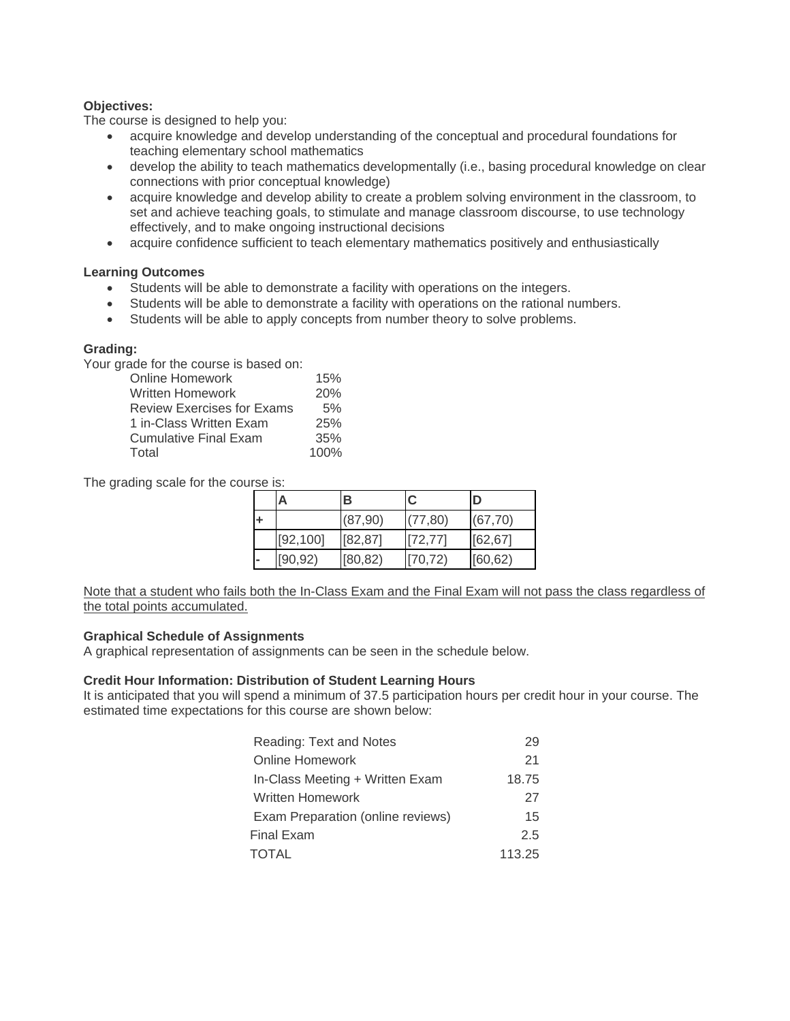## **Objectives:**

The course is designed to help you:

- acquire knowledge and develop understanding of the conceptual and procedural foundations for teaching elementary school mathematics
- develop the ability to teach mathematics developmentally (i.e., basing procedural knowledge on clear connections with prior conceptual knowledge)
- acquire knowledge and develop ability to create a problem solving environment in the classroom, to set and achieve teaching goals, to stimulate and manage classroom discourse, to use technology effectively, and to make ongoing instructional decisions
- acquire confidence sufficient to teach elementary mathematics positively and enthusiastically

## **Learning Outcomes**

- Students will be able to demonstrate a facility with operations on the integers.
- Students will be able to demonstrate a facility with operations on the rational numbers.
- Students will be able to apply concepts from number theory to solve problems.

## **Grading:**

Your grade for the course is based on:

| Online Homework                   | 15%  |
|-----------------------------------|------|
| <b>Written Homework</b>           | 20%  |
| <b>Review Exercises for Exams</b> | 5%   |
| 1 in-Class Written Exam           | 25%  |
| <b>Cumulative Final Exam</b>      | 35%  |
| Total                             | 100% |

The grading scale for the course is:

|                          | Α         | в        | C        | D        |
|--------------------------|-----------|----------|----------|----------|
|                          |           | (87,90)  | (77, 80) | (67, 70) |
|                          | [92, 100] | [82, 87] | [72, 77] | [62, 67] |
| $\overline{\phantom{a}}$ | [90, 92)  | [80, 82) | [70, 72) | [60, 62) |

 $\sim 10^{10}$ 

Note that a student who fails both the In-Class Exam and the Final Exam will not pass the class regardless of the total points accumulated.

## **Graphical Schedule of Assignments**

A graphical representation of assignments can be seen in the schedule below.

## **Credit Hour Information: Distribution of Student Learning Hours**

It is anticipated that you will spend a minimum of 37.5 participation hours per credit hour in your course. The estimated time expectations for this course are shown below:

| Reading: Text and Notes           | 29     |
|-----------------------------------|--------|
| Online Homework                   | 21     |
| In-Class Meeting + Written Exam   | 18.75  |
| <b>Written Homework</b>           | 27     |
| Exam Preparation (online reviews) | 15     |
| Final Exam                        | 2.5    |
| TOTAL                             | 113.25 |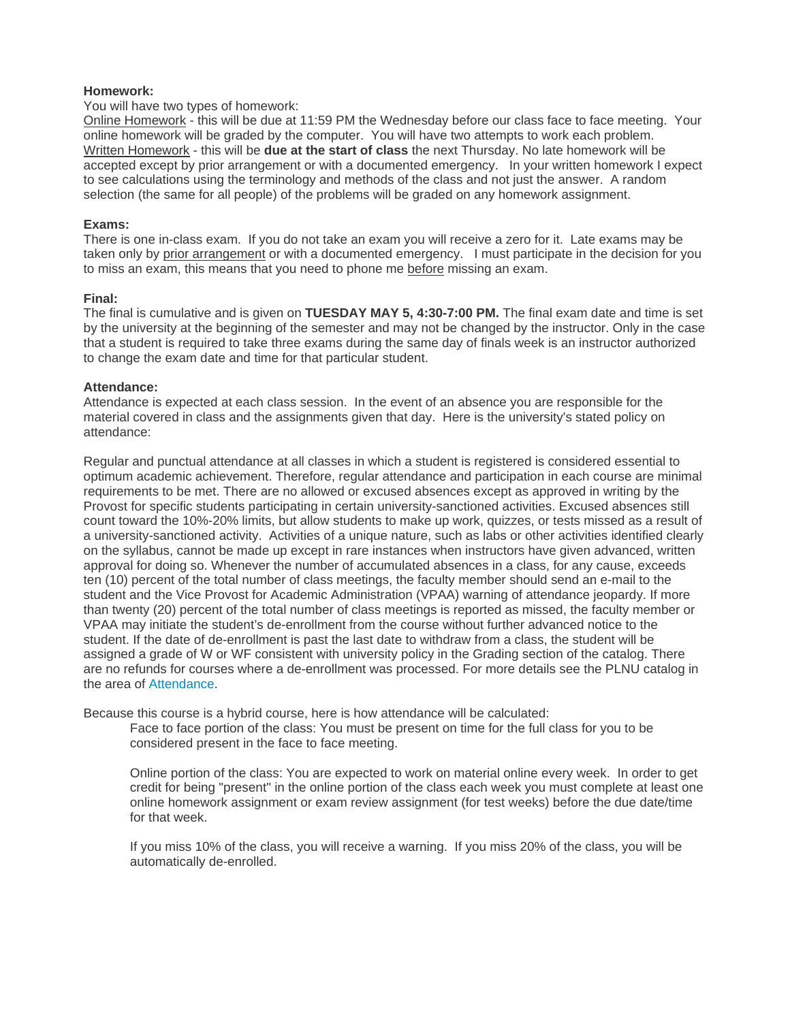#### **Homework:**

#### You will have two types of homework:

Online Homework - this will be due at 11:59 PM the Wednesday before our class face to face meeting. Your online homework will be graded by the computer. You will have two attempts to work each problem. Written Homework - this will be **due at the start of class** the next Thursday. No late homework will be accepted except by prior arrangement or with a documented emergency. In your written homework I expect to see calculations using the terminology and methods of the class and not just the answer. A random selection (the same for all people) of the problems will be graded on any homework assignment.

#### **Exams:**

There is one in-class exam. If you do not take an exam you will receive a zero for it. Late exams may be taken only by prior arrangement or with a documented emergency. I must participate in the decision for you to miss an exam, this means that you need to phone me before missing an exam.

#### **Final:**

The final is cumulative and is given on **TUESDAY MAY 5, 4:30-7:00 PM.** The final exam date and time is set by the university at the beginning of the semester and may not be changed by the instructor. Only in the case that a student is required to take three exams during the same day of finals week is an instructor authorized to change the exam date and time for that particular student.

## **Attendance:**

Attendance is expected at each class session. In the event of an absence you are responsible for the material covered in class and the assignments given that day. Here is the university's stated policy on attendance:

Regular and punctual attendance at all classes in which a student is registered is considered essential to optimum academic achievement. Therefore, regular attendance and participation in each course are minimal requirements to be met. There are no allowed or excused absences except as approved in writing by the Provost for specific students participating in certain university-sanctioned activities. Excused absences still count toward the 10%-20% limits, but allow students to make up work, quizzes, or tests missed as a result of a university-sanctioned activity. Activities of a unique nature, such as labs or other activities identified clearly on the syllabus, cannot be made up except in rare instances when instructors have given advanced, written approval for doing so. Whenever the number of accumulated absences in a class, for any cause, exceeds ten (10) percent of the total number of class meetings, the faculty member should send an e-mail to the student and the Vice Provost for Academic Administration (VPAA) warning of attendance jeopardy. If more than twenty (20) percent of the total number of class meetings is reported as missed, the faculty member or VPAA may initiate the student's de-enrollment from the course without further advanced notice to the student. If the date of de-enrollment is past the last date to withdraw from a class, the student will be assigned a grade of W or WF consistent with university policy in the Grading section of the catalog. There are no refunds for courses where a de-enrollment was processed. For more details see the PLNU catalog in the area of Attendance.

Because this course is a hybrid course, here is how attendance will be calculated:

Face to face portion of the class: You must be present on time for the full class for you to be considered present in the face to face meeting.

Online portion of the class: You are expected to work on material online every week. In order to get credit for being "present" in the online portion of the class each week you must complete at least one online homework assignment or exam review assignment (for test weeks) before the due date/time for that week.

If you miss 10% of the class, you will receive a warning. If you miss 20% of the class, you will be automatically de-enrolled.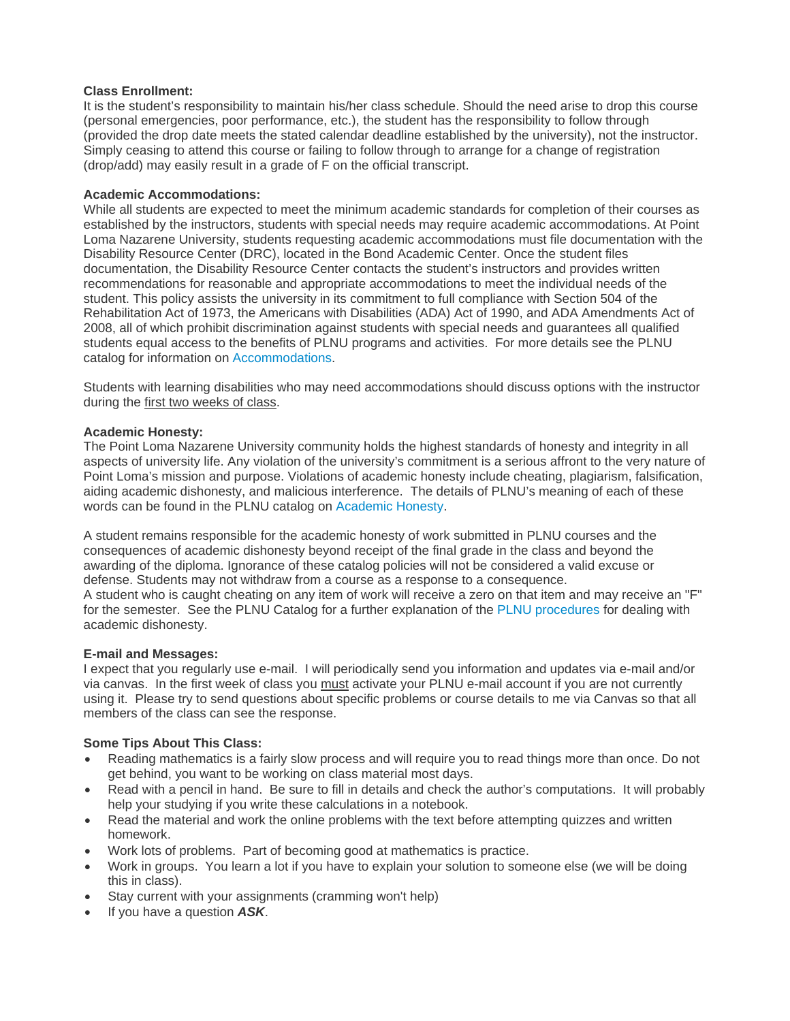## **Class Enrollment:**

It is the student's responsibility to maintain his/her class schedule. Should the need arise to drop this course (personal emergencies, poor performance, etc.), the student has the responsibility to follow through (provided the drop date meets the stated calendar deadline established by the university), not the instructor. Simply ceasing to attend this course or failing to follow through to arrange for a change of registration (drop/add) may easily result in a grade of F on the official transcript.

## **Academic Accommodations:**

While all students are expected to meet the minimum academic standards for completion of their courses as established by the instructors, students with special needs may require academic accommodations. At Point Loma Nazarene University, students requesting academic accommodations must file documentation with the Disability Resource Center (DRC), located in the Bond Academic Center. Once the student files documentation, the Disability Resource Center contacts the student's instructors and provides written recommendations for reasonable and appropriate accommodations to meet the individual needs of the student. This policy assists the university in its commitment to full compliance with Section 504 of the Rehabilitation Act of 1973, the Americans with Disabilities (ADA) Act of 1990, and ADA Amendments Act of 2008, all of which prohibit discrimination against students with special needs and guarantees all qualified students equal access to the benefits of PLNU programs and activities. For more details see the PLNU catalog for information on Accommodations.

Students with learning disabilities who may need accommodations should discuss options with the instructor during the first two weeks of class.

## **Academic Honesty:**

The Point Loma Nazarene University community holds the highest standards of honesty and integrity in all aspects of university life. Any violation of the university's commitment is a serious affront to the very nature of Point Loma's mission and purpose. Violations of academic honesty include cheating, plagiarism, falsification, aiding academic dishonesty, and malicious interference. The details of PLNU's meaning of each of these words can be found in the PLNU catalog on Academic Honesty.

A student remains responsible for the academic honesty of work submitted in PLNU courses and the consequences of academic dishonesty beyond receipt of the final grade in the class and beyond the awarding of the diploma. Ignorance of these catalog policies will not be considered a valid excuse or defense. Students may not withdraw from a course as a response to a consequence.

A student who is caught cheating on any item of work will receive a zero on that item and may receive an "F" for the semester. See the PLNU Catalog for a further explanation of the PLNU procedures for dealing with academic dishonesty.

## **E-mail and Messages:**

I expect that you regularly use e-mail. I will periodically send you information and updates via e-mail and/or via canvas. In the first week of class you must activate your PLNU e-mail account if you are not currently using it. Please try to send questions about specific problems or course details to me via Canvas so that all members of the class can see the response.

## **Some Tips About This Class:**

- Reading mathematics is a fairly slow process and will require you to read things more than once. Do not get behind, you want to be working on class material most days.
- Read with a pencil in hand. Be sure to fill in details and check the author's computations. It will probably help your studying if you write these calculations in a notebook.
- Read the material and work the online problems with the text before attempting quizzes and written homework.
- Work lots of problems. Part of becoming good at mathematics is practice.
- Work in groups. You learn a lot if you have to explain your solution to someone else (we will be doing this in class).
- Stay current with your assignments (cramming won't help)
- If you have a question **ASK**.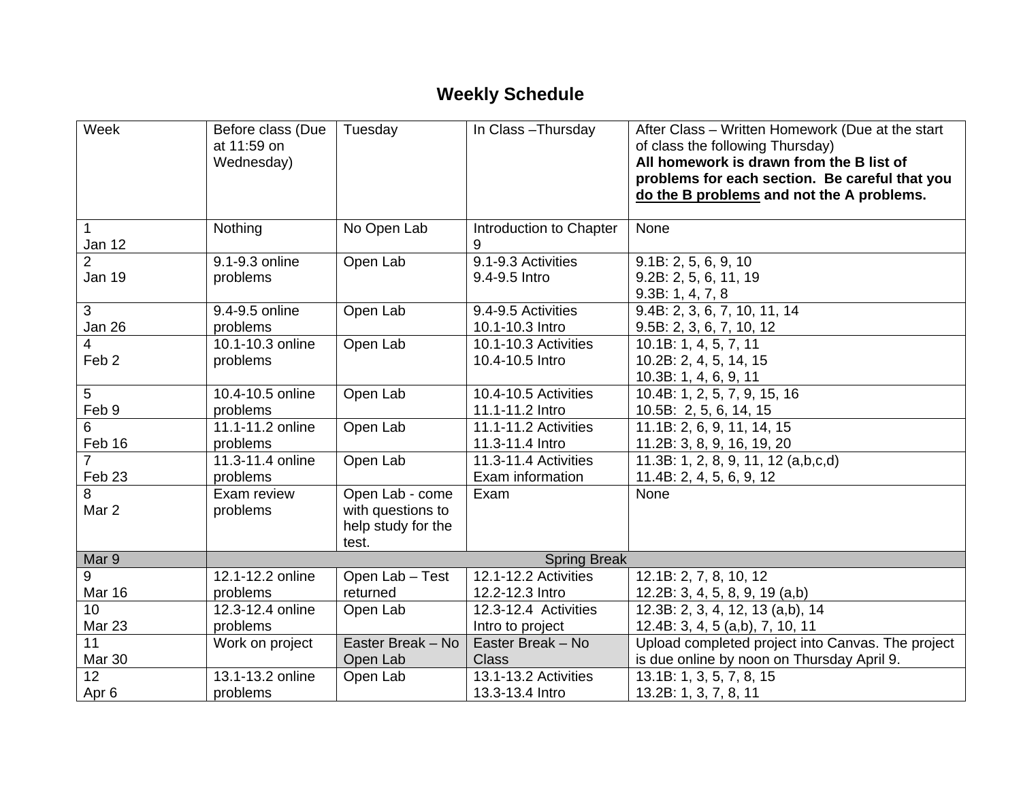## **Weekly Schedule**

| Week                     | Before class (Due<br>at 11:59 on<br>Wednesday) | Tuesday                                                             | In Class-Thursday                       | After Class - Written Homework (Due at the start<br>of class the following Thursday)<br>All homework is drawn from the B list of<br>problems for each section. Be careful that you<br>do the B problems and not the A problems. |
|--------------------------|------------------------------------------------|---------------------------------------------------------------------|-----------------------------------------|---------------------------------------------------------------------------------------------------------------------------------------------------------------------------------------------------------------------------------|
| $\mathbf{1}$<br>Jan 12   | Nothing                                        | No Open Lab                                                         | Introduction to Chapter<br>9            | None                                                                                                                                                                                                                            |
| $\overline{2}$<br>Jan 19 | 9.1-9.3 online<br>problems                     | Open Lab                                                            | 9.1-9.3 Activities<br>9.4-9.5 Intro     | 9.1B: 2, 5, 6, 9, 10<br>9.2B: 2, 5, 6, 11, 19<br>9.3B: 1, 4, 7, 8                                                                                                                                                               |
| 3                        | 9.4-9.5 online                                 | Open Lab                                                            | 9.4-9.5 Activities                      | 9.4B: 2, 3, 6, 7, 10, 11, 14                                                                                                                                                                                                    |
| Jan 26                   | problems                                       |                                                                     | 10.1-10.3 Intro                         | 9.5B: 2, 3, 6, 7, 10, 12                                                                                                                                                                                                        |
| 4<br>Feb <sub>2</sub>    | 10.1-10.3 online<br>problems                   | Open Lab                                                            | 10.1-10.3 Activities<br>10.4-10.5 Intro | 10.1B: 1, 4, 5, 7, 11<br>10.2B: 2, 4, 5, 14, 15<br>10.3B: 1, 4, 6, 9, 11                                                                                                                                                        |
| 5                        | 10.4-10.5 online                               | Open Lab                                                            | 10.4-10.5 Activities                    | 10.4B: 1, 2, 5, 7, 9, 15, 16                                                                                                                                                                                                    |
| Feb 9                    | problems                                       |                                                                     | 11.1-11.2 Intro                         | 10.5B: 2, 5, 6, 14, 15                                                                                                                                                                                                          |
| 6                        | 11.1-11.2 online                               | Open Lab                                                            | 11.1-11.2 Activities                    | 11.1B: 2, 6, 9, 11, 14, 15                                                                                                                                                                                                      |
| Feb 16                   | problems                                       |                                                                     | 11.3-11.4 Intro                         | 11.2B: 3, 8, 9, 16, 19, 20                                                                                                                                                                                                      |
| $\overline{7}$           | 11.3-11.4 online                               | Open Lab                                                            | 11.3-11.4 Activities                    | 11.3B: 1, 2, 8, 9, 11, 12 (a,b,c,d)                                                                                                                                                                                             |
| Feb <sub>23</sub>        | problems                                       |                                                                     | Exam information                        | 11.4B: 2, 4, 5, 6, 9, 12                                                                                                                                                                                                        |
| 8<br>Mar 2               | Exam review<br>problems                        | Open Lab - come<br>with questions to<br>help study for the<br>test. | Exam                                    | None                                                                                                                                                                                                                            |
| Mar 9                    | <b>Spring Break</b>                            |                                                                     |                                         |                                                                                                                                                                                                                                 |
| 9                        | 12.1-12.2 online                               | Open Lab - Test                                                     | 12.1-12.2 Activities                    | 12.1B: 2, 7, 8, 10, 12                                                                                                                                                                                                          |
| Mar 16                   | problems                                       | returned                                                            | 12.2-12.3 Intro                         | 12.2B: 3, 4, 5, 8, 9, 19 (a,b)                                                                                                                                                                                                  |
| 10                       | 12.3-12.4 online                               | Open Lab                                                            | 12.3-12.4 Activities                    | 12.3B: 2, 3, 4, 12, 13 (a,b), 14                                                                                                                                                                                                |
| Mar 23                   | problems                                       |                                                                     | Intro to project                        | 12.4B: 3, 4, 5 (a,b), 7, 10, 11                                                                                                                                                                                                 |
| 11                       | Work on project                                | Easter Break - No                                                   | Easter Break - No                       | Upload completed project into Canvas. The project                                                                                                                                                                               |
| <b>Mar 30</b>            |                                                | Open Lab                                                            | <b>Class</b>                            | is due online by noon on Thursday April 9.                                                                                                                                                                                      |
| 12                       | 13.1-13.2 online                               | Open Lab                                                            | 13.1-13.2 Activities                    | 13.1B: 1, 3, 5, 7, 8, 15                                                                                                                                                                                                        |
| Apr <sub>6</sub>         | problems                                       |                                                                     | 13.3-13.4 Intro                         | 13.2B: 1, 3, 7, 8, 11                                                                                                                                                                                                           |